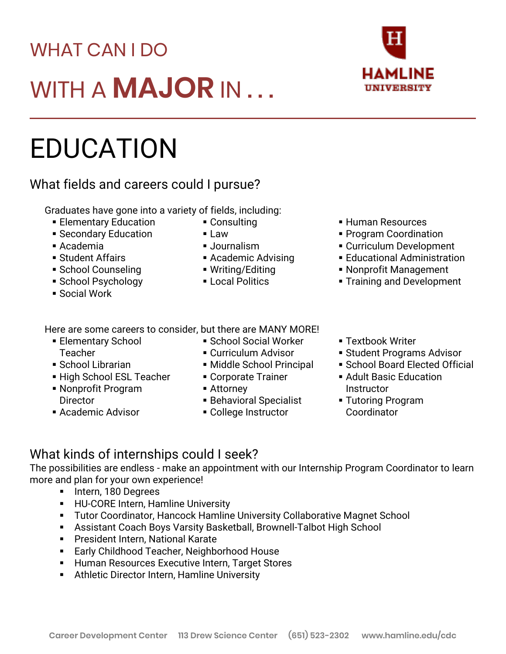# WHAT CAN I DO WITH A **MAJOR** IN . . .

## EDUCATION

#### What fields and careers could I pursue?

Graduates have gone into a variety of fields, including:

- **Elementary Education**
- **Execondary Education**
- Academia
- Student Affairs
- School Counseling
- School Psychology
- Social Work
- Here are some careers to consider, but there are MANY MORE!
	- **Elementary School Teacher**
	- School Librarian
	- **EXA** High School ESL Teacher
	- Nonprofit Program **Director**
	- Academic Advisor

▪ School Social Worker

■ Academic Advising ■ Writing/Editing ■ Local Politics

- **E** Curriculum Advisor
- **E** Middle School Principal
- Corporate Trainer
- Attorney

■ Consulting

▪ Journalism

■ Law

- **Behavioral Specialist**
- College Instructor
- Human Resources
- Program Coordination
- **Example Viernal** Curriculum Development
- **Educational Administration**
- **Nonprofit Management**
- **Training and Development**
- **Extbook Writer**
- **E** Student Programs Advisor
- **School Board Elected Official**
- **Adult Basic Education Instructor**
- **Tutoring Program** Coordinator

#### What kinds of internships could I seek?

The possibilities are endless - make an appointment with our Internship Program Coordinator to learn more and plan for your own experience!

- Intern, 180 Degrees
- **E** HU-CORE Intern, Hamline University
- **Tutor Coordinator, Hancock Hamline University Collaborative Magnet School**
- Assistant Coach Boys Varsity Basketball, Brownell-Talbot High School
- **President Intern, National Karate**
- Early Childhood Teacher, Neighborhood House
- **E** Human Resources Executive Intern, Target Stores
- Athletic Director Intern, Hamline University

## HAMLINF **UNIVERSITY**